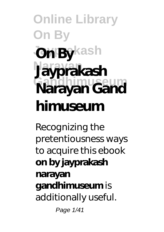# **Online Library On By On By**kash **Narayan Jayprakash Narayan Gand himuseum**

Recognizing the pretentiousness ways to acquire this ebook **on by jayprakash narayan gandhimuseum** is additionally useful.

Page 1/41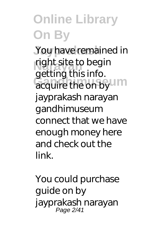You have remained in right site to begin acquire the on by UM getting this info. jayprakash narayan gandhimuseum connect that we have enough money here and check out the link.

You could purchase guide on by jayprakash narayan Page 2/41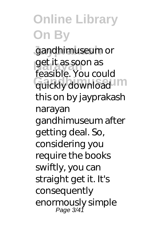**Jayprakash** gandhimuseum or **Narayan** get it as soon as quickly download feasible. You could this on by jayprakash narayan gandhimuseum after getting deal. So, considering you require the books swiftly, you can straight get it. It's consequently enormously simple Page 3/41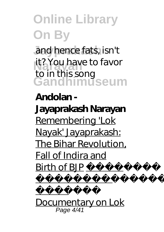and hence fats, isn't it? You have to favor **Gandhimuseum** to in this song

#### **Andolan -**

**Jayaprakash Narayan** Remembering 'Lok Nayak' Jayaprakash: The Bihar Revolution, Fall of Indira and  $Birth$  of  $BIP$ 



की स्मृति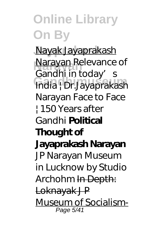**Jayprakash** Nayak Jayaprakash **Narayan** Narayan *Relevance of* **Gandhimuseum** *India | Dr.Jayaprakash Gandhi in today's Narayan Face to Face | 150 Years after Gandhi* **Political Thought of Jayaprakash Narayan** *JP Narayan Museum in Lucknow by Studio Archohm* In Depth: Loknayak J P Museum of Socialism-Page 5/41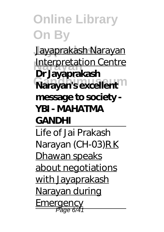**Jayprakash** Jayaprakash Narayan **Interpretation Centre Narayan's excellent Dr Jayaprakash message to society - YBI - MAHATMA GANDHI**

Life of Jai Prakash Narayan (CH-03)R K Dhawan speaks about negotiations with Jayaprakash Narayan during Emergency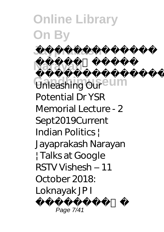**Online Library On By Jayprakash Narayan**  $\sim$ 

**G**nleashing Oureum Unleashing Our Potential Dr YSR Memorial Lecture - 2 Sept2019*Current Indian Politics | Jayaprakash Narayan | Talks at Google RSTV Vishesh – 11 October 2018: Loknayak JP I*

Page 7/41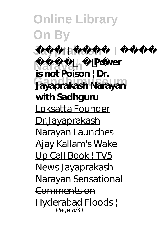**Online Library On By**  $J$ ayprakash **Narayan** *नारायण* **Power Gandhimuseum Jayaprakash Narayan is not Poison | Dr. with Sadhguru** Loksatta Founder Dr.Jayaprakash Narayan Launches Ajay Kallam's Wake Up Call Book | TV5 News Jayaprakash Narayan Sensational Comments on Hyderabad Floods | Page 8/41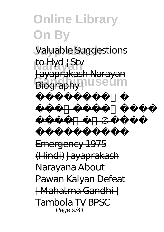### **Online Library On By Jayprakash** Valuable Suggestions **Narayan** to Hyd | Stv Biography | USeum Jayaprakash Narayan

लोकनायक जयप्रकाश नारायण की

<del>ल्लाहरू</del><br>जीवन Emergency 1975 (Hindi) Jayaprakash Narayana About Pawan Kalyan Defeat | Mahatma Gandhi | Tambola TV *BPSC* Page 9/41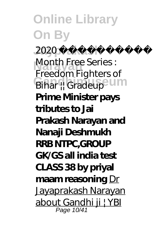**Online Library On By Jayprakash** *2020 दंगल A 2* **Narayan** *Month Free Series : Bihar || Gradeup*<sup>2</sup> UM *Freedom Fighters of* **Prime Minister pays tributes to Jai Prakash Narayan and Nanaji Deshmukh RRB NTPC,GROUP GK/GS all india test CLASS 38 by priyal maam reasoning** Dr Jayaprakash Narayan about Gandhi ji | YBI Page 10/41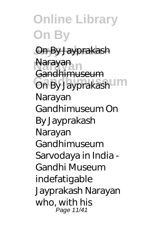**Online Library On By Jayprakash** On By Jayprakash **Narayan** Narayan **On By Jayprakash** Gandhimuseum Narayan Gandhimuseum On By Jayprakash Narayan Gandhimuseum Sarvodaya in India - Gandhi Museum indefatigable Jayprakash Narayan who, with his Page 11/41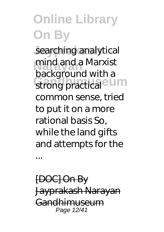searching analytical mind and a Marxist<br>becks reund uithe strong practical <sup>e U</sup>M background with a common sense, tried to put it on a more rational basis So, while the land gifts and attempts for the

[DOC] On By Jayprakash Narayan Gandhimuseum Page 12/41

...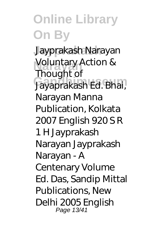**Jayprakash** Jayprakash Narayan Voluntary Action & **Gandhimuseum** Jayaprakash Ed. Bhai, Thought of Narayan Manna Publication, Kolkata 2007 English 920 S R 1 H Jayprakash Narayan Jayprakash Narayan - A Centenary Volume Ed. Das, Sandip Mittal Publications, New Delhi 2005 English Page 13/41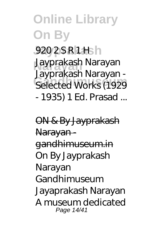#### **Online Library On By** 920 2 S R 1 H<sub>s</sub>h **Narayan** Jayprakash Narayan **Gandhimuseum** Selected Works (1929 Jayprakash Narayan - - 1935) 1 Ed. Prasad ...

ON & By Jayprakash Narayan gandhimuseum.in On By Jayprakash Narayan Gandhimuseum Jayaprakash Narayan A museum dedicated Page 14/41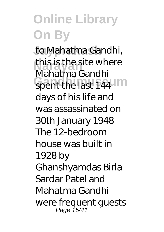to Mahatma Gandhi, this is the site where spent the last 144 Mahatma Gandhi days of his life and was assassinated on 30th January 1948 The 12-bedroom house was built in 1928 by Ghanshyamdas Birla Sardar Patel and Mahatma Gandhi were frequent guests Page 15/41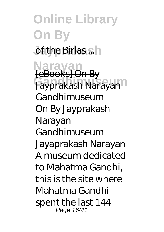**Online Library On By Jof the Birlas sh Narayan** [eBooks] On By **Gandhimuseum** Jayprakash Narayan Gandhimuseum On By Jayprakash Narayan Gandhimuseum Jayaprakash Narayan A museum dedicated to Mahatma Gandhi, this is the site where Mahatma Gandhi spent the last 144 Page 16/41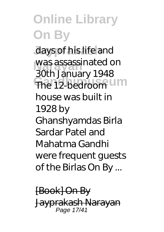#### **Online Library On By** days of his life and was assassinated on The 12-bedroom Um 30th January 1948 house was built in 1928 by Ghanshyamdas Birla Sardar Patel and Mahatma Gandhi were frequent guests of the Birlas On By ...

[Book] On By Jayprakash Narayan Page 17/41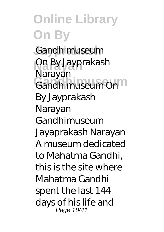**Online Library On By** Gandhimuseum **Narayan** On By Jayprakash **Gandhimuseum** Gandhimuseum On Narayan By Jayprakash Narayan Gandhimuseum Jayaprakash Narayan A museum dedicated to Mahatma Gandhi, this is the site where Mahatma Gandhi spent the last 144 days of his life and Page 18/41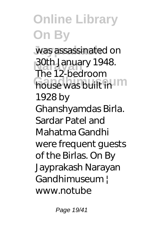**Online Library On By** was assassinated on **30th January 1948.**<br>The 12 hedroem house was built in The 12-bedroom 1928 by Ghanshyamdas Birla. Sardar Patel and Mahatma Gandhi were frequent guests of the Birlas. On By Jayprakash Narayan Gandhimuseum ! www.notube

Page 19/41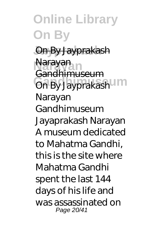**Online Library On By Jayprakash** On By Jayprakash **Narayan** Narayan **On By Jayprakash** Gandhimuseum Narayan Gandhimuseum Jayaprakash Narayan A museum dedicated to Mahatma Gandhi, this is the site where Mahatma Gandhi spent the last 144 days of his life and was assassinated on Page 20/41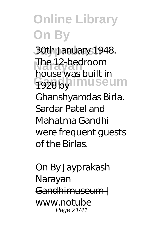**Jayprakash** 30th January 1948. **Narayan** The 12-bedroom **Gandhimuseum** house was built in 1928 by

Ghanshyamdas Birla. Sardar Patel and Mahatma Gandhi were frequent guests of the Birlas.

On By Jayprakash Narayan Gandhimuseum ! www.notube Page 21/41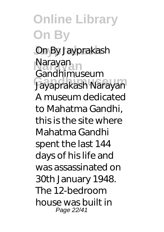#### **Online Library On By Jayprakash** On By Jayprakash **Narayan** Narayan **Gandhimuseum** Jayaprakash Narayan Gandhimuseum A museum dedicated to Mahatma Gandhi, this is the site where Mahatma Gandhi spent the last 144 days of his life and was assassinated on 30th January 1948. The 12-bedroom house was built in Page 22/41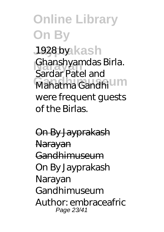#### **Online Library On By** 1928 by kash **Narayan** Ghanshyamdas Birla. Mahatma Gandhi Sardar Patel and were frequent guests of the Birlas.

On By Jayprakash Narayan Gandhimuseum On By Jayprakash Narayan Gandhimuseum Author: embraceafric Page 23/41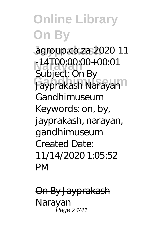#### **Online Library On By Jayprakash** agroup.co.za-2020-11 **Narayan** -14T00:00:00+00:01 **Gandhimuseum** Jayprakash Narayan Subject: On By Gandhimuseum Keywords: on, by, jayprakash, narayan, gandhimuseum Created Date: 11/14/2020 1:05:52 PM

On By Jayprakash Narayan Page 24/41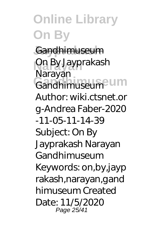**Online Library On By** Gandhimuseum **Narayan** On By Jayprakash **Gandhimuseum** Gandhimuseum Narayan Author: wiki.ctsnet.or g-Andrea Faber-2020 -11-05-11-14-39 Subject: On By Jayprakash Narayan Gandhimuseum Keywords: on,by,jayp rakash,narayan,gand himuseum Created Date: 11/5/2020 Page 25/41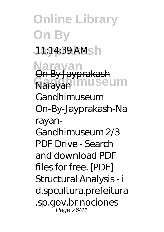**Online Library On By Jayprakash** 11:14:39 AM **Narayan** On By Jayprakash Rarayan museum Gandhimuseum On-By-Jayprakash-Na rayan-Gandhimuseum 2/3 PDF Drive - Search and download PDF files for free. [PDF] Structural Analysis - i d.spcultura.prefeitura .sp.gov.br nociones Page 26/41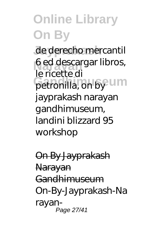de derecho mercantil 6 ed descargar libros, petronilla, on by UM le ricette di jayprakash narayan gandhimuseum, landini blizzard 95 workshop

On By Jayprakash **Narayan** Gandhimuseum On-By-Jayprakash-Na rayan-Page 27/41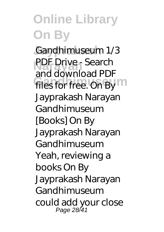Gandhimuseum 1/3 **PDF Drive - Search** files for free. On By and download PDF Jayprakash Narayan Gandhimuseum [Books] On By Jayprakash Narayan Gandhimuseum Yeah, reviewing a books On By Jayprakash Narayan Gandhimuseum could add your close Page 28/41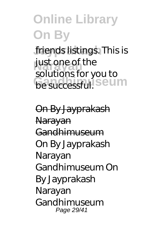friends listings. This is just one of the **be successful.** Seum solutions for you to

On By Jayprakash Narayan Gandhimuseum On By Jayprakash Narayan Gandhimuseum On By Jayprakash Narayan Gandhimuseum Page 29/41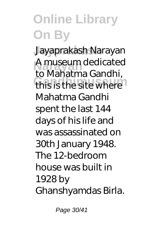**Jayprakash** Jayaprakash Narayan A museum dedicated<br> **A** Mahatma Candhi this is the site where to Mahatma Gandhi, Mahatma Gandhi spent the last 144 days of his life and was assassinated on 30th January 1948. The 12-bedroom house was built in 1928 by Ghanshyamdas Birla.

Page 30/41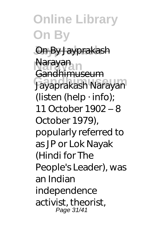#### **Online Library On By Jayprakash** On By Jayprakash **Narayan** Narayan **Gandhimuseum** Jayaprakash Narayan Gandhimuseum (listen (help  $\cdot$  info); 11 October 1902 – 8 October 1979), popularly referred to as JP or Lok Nayak (Hindi for The People's Leader), was an Indian independence activist, theorist, Page 31/41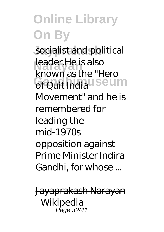socialist and political **Narayan** leader.He is also **Grouit Indiauseum** known as the "Hero Movement" and he is remembered for leading the mid-1970s opposition against Prime Minister Indira Gandhi, for whose ...

Jayaprakash Narayan -Wikipedi Page 32/41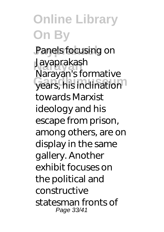#### **Online Library On By** Panels focusing on **Narayan** Jayaprakash years, his inclination Narayan's formative towards Marxist ideology and his escape from prison, among others, are on display in the same gallery. Another exhibit focuses on the political and constructive statesman fronts of Page 33/41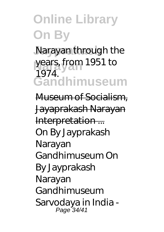Narayan through the years, from 1951 to **Gandhimuseum** 1974.

Museum of Socialism, Jayaprakash Narayan Interpretation ... On By Jayprakash Narayan Gandhimuseum On By Jayprakash Narayan Gandhimuseum Sarvodaya in India - Page 34/41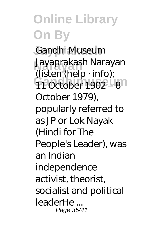#### **Online Library On By** Gandhi Museum **Narayan** Jayaprakash Narayan **Gandhimuseum** 11 October 1902 – 8 (listen (help · info); October 1979), popularly referred to as JP or Lok Nayak (Hindi for The People's Leader), was an Indian independence activist, theorist, socialist and political leaderHe ... Page 35/41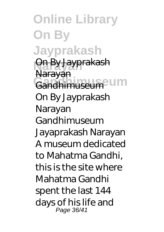**Online Library On By Jayprakash Narayan** On By Jayprakash **Gandhimuseum** Gandhimuseum Narayan On By Jayprakash Narayan Gandhimuseum Jayaprakash Narayan A museum dedicated to Mahatma Gandhi, this is the site where Mahatma Gandhi spent the last 144 days of his life and Page 36/41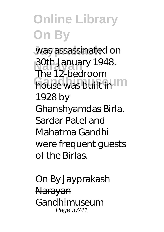**Online Library On By** was assassinated on **30th January 1948.**<br>The 12 hedroem house was built in The 12-bedroom 1928 by Ghanshyamdas Birla. Sardar Patel and Mahatma Gandhi were frequent guests of the Birlas.

On By Jayprakash Narayan Gandhimuseum - Page 37/41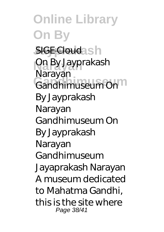**Online Library On By SIGE Cloudash Narayan** On By Jayprakash **Gandhimuseum** Gandhimuseum On Narayan By Jayprakash Narayan Gandhimuseum On By Jayprakash Narayan Gandhimuseum Jayaprakash Narayan A museum dedicated to Mahatma Gandhi, this is the site where Page 38/41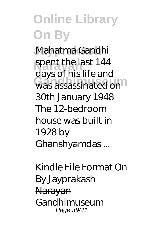Mahatma Gandhi spent the last 144 was assassinated on days of his life and 30th January 1948 The 12-bedroom house was built in 1928 by Ghanshyamdas ...

Kindle File Format On By Jayprakash Narayan Gandhimuseum Page 39/41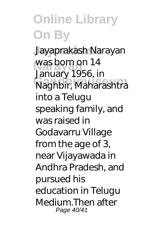**Jayprakash** Jayaprakash Narayan was born on 14 **Gandhimuseum** Naghbir, Maharashtra January 1956, in into a Telugu speaking family, and was raised in Godavarru Village from the age of 3, near Vijayawada in Andhra Pradesh, and pursued his education in Telugu Medium.Then after Page 40/41